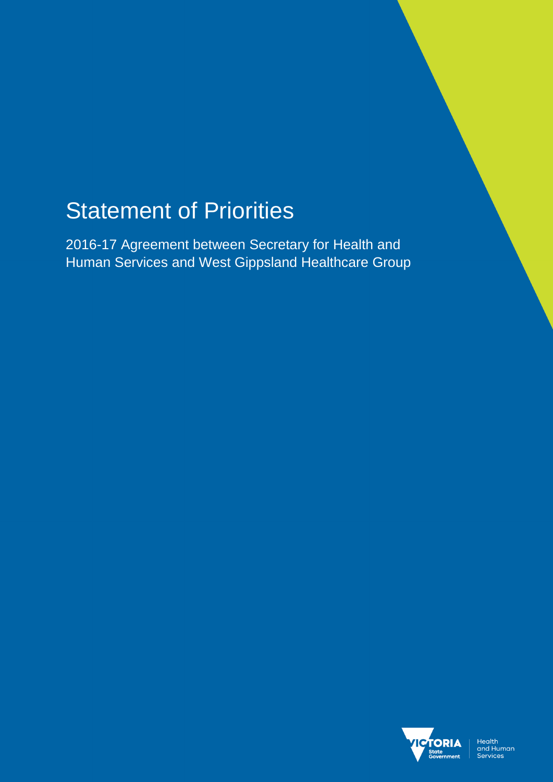# Statement of Priorities

2016-17 Agreement between Secretary for Health and Human Services and West Gippsland Healthcare Group

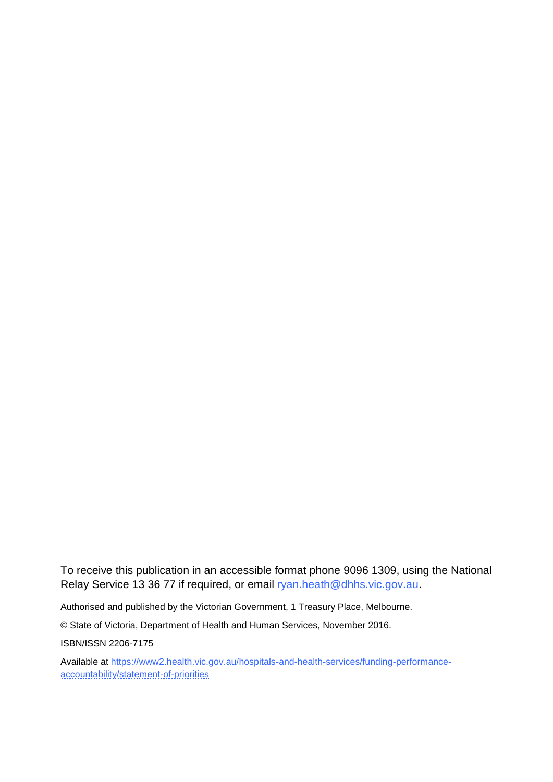To receive this publication in an accessible format phone 9096 1309, using the National Relay Service 13 36 77 if required, or email [ryan.heath@dhhs.vic.gov.au.](mailto:ryan.heath@dhhs.vic.gov.au)

Authorised and published by the Victorian Government, 1 Treasury Place, Melbourne.

© State of Victoria, Department of Health and Human Services, November 2016.

ISBN/ISSN 2206-7175

Available at [https://www2.health.vic.gov.au/hospitals-and-health-services/funding-performance](https://www2.health.vic.gov.au/hospitals-and-health-services/funding-performance-accountability/statement-of-priorities)[accountability/statement-of-priorities](https://www2.health.vic.gov.au/hospitals-and-health-services/funding-performance-accountability/statement-of-priorities)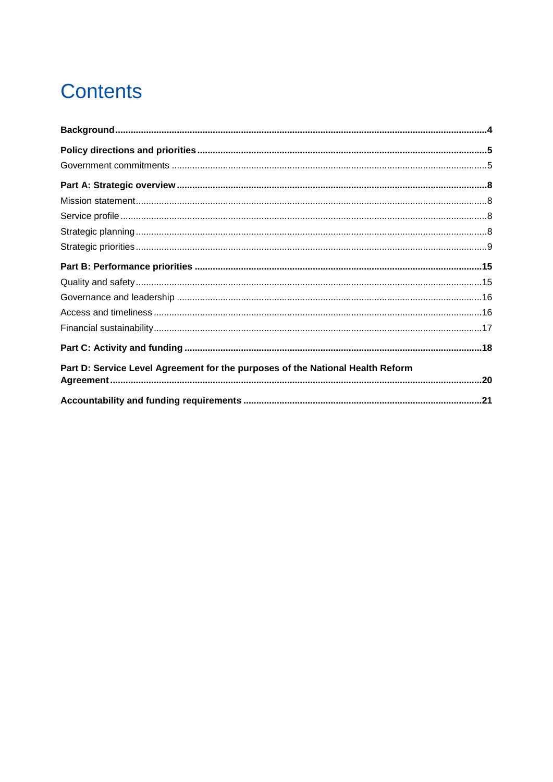# **Contents**

| Part D: Service Level Agreement for the purposes of the National Health Reform |  |
|--------------------------------------------------------------------------------|--|
|                                                                                |  |
|                                                                                |  |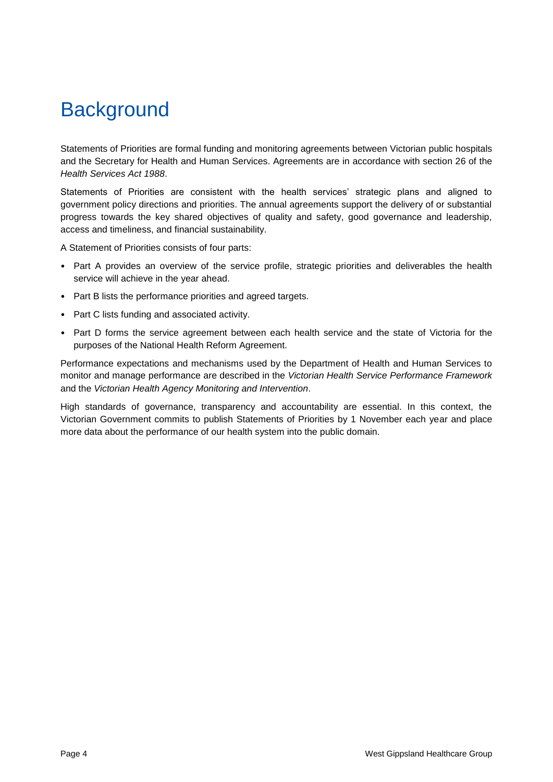## <span id="page-3-0"></span>**Background**

Statements of Priorities are formal funding and monitoring agreements between Victorian public hospitals and the Secretary for Health and Human Services. Agreements are in accordance with section 26 of the *Health Services Act 1988*.

Statements of Priorities are consistent with the health services' strategic plans and aligned to government policy directions and priorities. The annual agreements support the delivery of or substantial progress towards the key shared objectives of quality and safety, good governance and leadership, access and timeliness, and financial sustainability.

A Statement of Priorities consists of four parts:

- Part A provides an overview of the service profile, strategic priorities and deliverables the health service will achieve in the year ahead.
- Part B lists the performance priorities and agreed targets.
- Part C lists funding and associated activity.
- Part D forms the service agreement between each health service and the state of Victoria for the purposes of the National Health Reform Agreement.

Performance expectations and mechanisms used by the Department of Health and Human Services to monitor and manage performance are described in the *Victorian Health Service Performance Framework* and the *Victorian Health Agency Monitoring and Intervention*.

High standards of governance, transparency and accountability are essential. In this context, the Victorian Government commits to publish Statements of Priorities by 1 November each year and place more data about the performance of our health system into the public domain.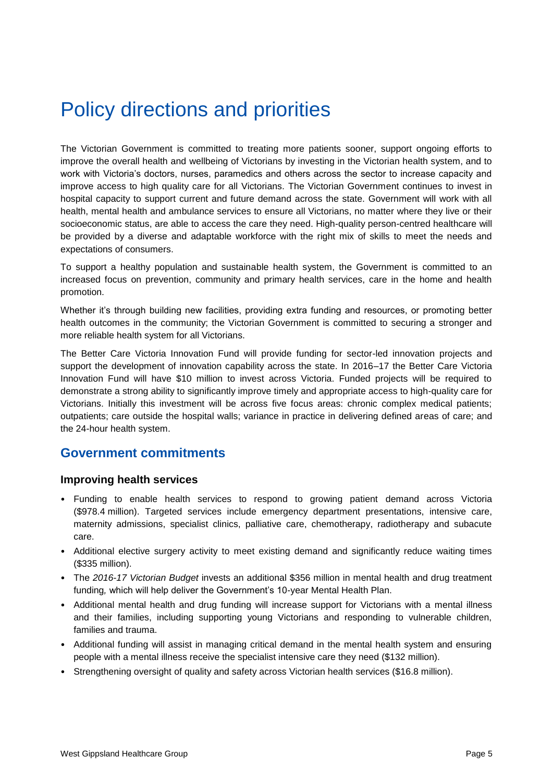## <span id="page-4-0"></span>Policy directions and priorities

The Victorian Government is committed to treating more patients sooner, support ongoing efforts to improve the overall health and wellbeing of Victorians by investing in the Victorian health system, and to work with Victoria's doctors, nurses, paramedics and others across the sector to increase capacity and improve access to high quality care for all Victorians. The Victorian Government continues to invest in hospital capacity to support current and future demand across the state. Government will work with all health, mental health and ambulance services to ensure all Victorians, no matter where they live or their socioeconomic status, are able to access the care they need. High-quality person-centred healthcare will be provided by a diverse and adaptable workforce with the right mix of skills to meet the needs and expectations of consumers.

To support a healthy population and sustainable health system, the Government is committed to an increased focus on prevention, community and primary health services, care in the home and health promotion.

Whether it's through building new facilities, providing extra funding and resources, or promoting better health outcomes in the community; the Victorian Government is committed to securing a stronger and more reliable health system for all Victorians.

The Better Care Victoria Innovation Fund will provide funding for sector-led innovation projects and support the development of innovation capability across the state. In 2016–17 the Better Care Victoria Innovation Fund will have \$10 million to invest across Victoria. Funded projects will be required to demonstrate a strong ability to significantly improve timely and appropriate access to high-quality care for Victorians. Initially this investment will be across five focus areas: chronic complex medical patients; outpatients; care outside the hospital walls; variance in practice in delivering defined areas of care; and the 24-hour health system.

### <span id="page-4-1"></span>**Government commitments**

#### **Improving health services**

- Funding to enable health services to respond to growing patient demand across Victoria (\$978.4 million). Targeted services include emergency department presentations, intensive care, maternity admissions, specialist clinics, palliative care, chemotherapy, radiotherapy and subacute care.
- Additional elective surgery activity to meet existing demand and significantly reduce waiting times (\$335 million).
- The *2016-17 Victorian Budget* invests an additional \$356 million in mental health and drug treatment funding*,* which will help deliver the Government's 10-year Mental Health Plan.
- Additional mental health and drug funding will increase support for Victorians with a mental illness and their families, including supporting young Victorians and responding to vulnerable children, families and trauma.
- Additional funding will assist in managing critical demand in the mental health system and ensuring people with a mental illness receive the specialist intensive care they need (\$132 million).
- Strengthening oversight of quality and safety across Victorian health services (\$16.8 million).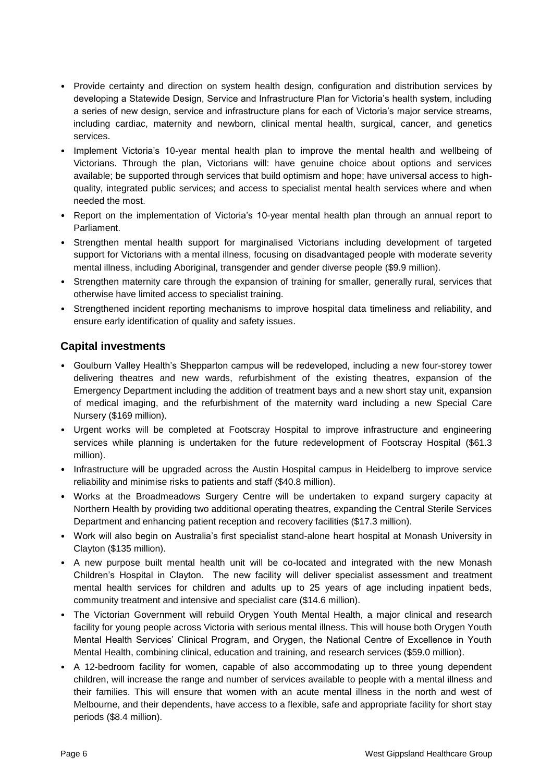- Provide certainty and direction on system health design, configuration and distribution services by developing a Statewide Design, Service and Infrastructure Plan for Victoria's health system, including a series of new design, service and infrastructure plans for each of Victoria's major service streams, including cardiac, maternity and newborn, clinical mental health, surgical, cancer, and genetics services.
- Implement Victoria's 10-year mental health plan to improve the mental health and wellbeing of Victorians. Through the plan, Victorians will: have genuine choice about options and services available; be supported through services that build optimism and hope; have universal access to highquality, integrated public services; and access to specialist mental health services where and when needed the most.
- Report on the implementation of Victoria's 10-year mental health plan through an annual report to Parliament.
- Strengthen mental health support for marginalised Victorians including development of targeted support for Victorians with a mental illness, focusing on disadvantaged people with moderate severity mental illness, including Aboriginal, transgender and gender diverse people (\$9.9 million).
- Strengthen maternity care through the expansion of training for smaller, generally rural, services that otherwise have limited access to specialist training.
- Strengthened incident reporting mechanisms to improve hospital data timeliness and reliability, and ensure early identification of quality and safety issues.

### **Capital investments**

- Goulburn Valley Health's Shepparton campus will be redeveloped, including a new four-storey tower delivering theatres and new wards, refurbishment of the existing theatres, expansion of the Emergency Department including the addition of treatment bays and a new short stay unit, expansion of medical imaging, and the refurbishment of the maternity ward including a new Special Care Nursery (\$169 million).
- Urgent works will be completed at Footscray Hospital to improve infrastructure and engineering services while planning is undertaken for the future redevelopment of Footscray Hospital (\$61.3 million).
- Infrastructure will be upgraded across the Austin Hospital campus in Heidelberg to improve service reliability and minimise risks to patients and staff (\$40.8 million).
- Works at the Broadmeadows Surgery Centre will be undertaken to expand surgery capacity at Northern Health by providing two additional operating theatres, expanding the Central Sterile Services Department and enhancing patient reception and recovery facilities (\$17.3 million).
- Work will also begin on Australia's first specialist stand-alone heart hospital at Monash University in Clayton (\$135 million).
- A new purpose built mental health unit will be co-located and integrated with the new Monash Children's Hospital in Clayton. The new facility will deliver specialist assessment and treatment mental health services for children and adults up to 25 years of age including inpatient beds, community treatment and intensive and specialist care (\$14.6 million).
- The Victorian Government will rebuild Orygen Youth Mental Health, a major clinical and research facility for young people across Victoria with serious mental illness. This will house both Orygen Youth Mental Health Services' Clinical Program, and Orygen, the National Centre of Excellence in Youth Mental Health, combining clinical, education and training, and research services (\$59.0 million).
- A 12-bedroom facility for women, capable of also accommodating up to three young dependent children, will increase the range and number of services available to people with a mental illness and their families. This will ensure that women with an acute mental illness in the north and west of Melbourne, and their dependents, have access to a flexible, safe and appropriate facility for short stay periods (\$8.4 million).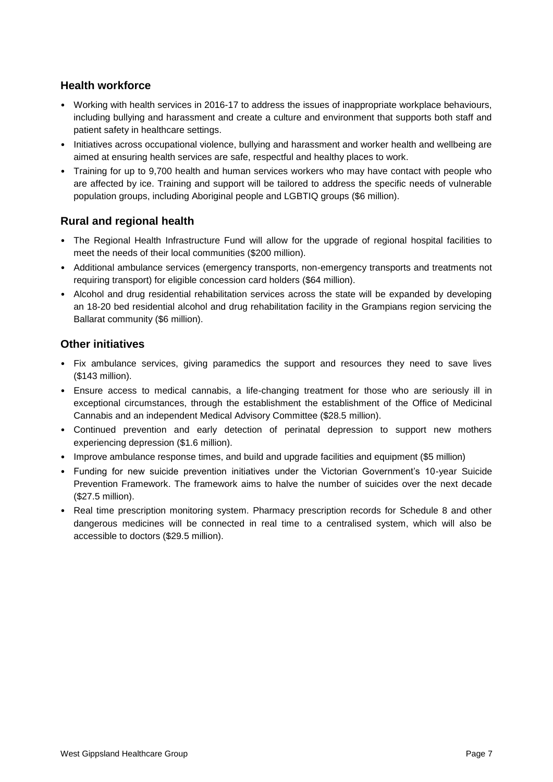### **Health workforce**

- Working with health services in 2016-17 to address the issues of inappropriate workplace behaviours, including bullying and harassment and create a culture and environment that supports both staff and patient safety in healthcare settings.
- Initiatives across occupational violence, bullying and harassment and worker health and wellbeing are aimed at ensuring health services are safe, respectful and healthy places to work.
- Training for up to 9,700 health and human services workers who may have contact with people who are affected by ice. Training and support will be tailored to address the specific needs of vulnerable population groups, including Aboriginal people and LGBTIQ groups (\$6 million).

### **Rural and regional health**

- The Regional Health Infrastructure Fund will allow for the upgrade of regional hospital facilities to meet the needs of their local communities (\$200 million).
- Additional ambulance services (emergency transports, non-emergency transports and treatments not requiring transport) for eligible concession card holders (\$64 million).
- Alcohol and drug residential rehabilitation services across the state will be expanded by developing an 18-20 bed residential alcohol and drug rehabilitation facility in the Grampians region servicing the Ballarat community (\$6 million).

### **Other initiatives**

- Fix ambulance services, giving paramedics the support and resources they need to save lives (\$143 million).
- Ensure access to medical cannabis, a life-changing treatment for those who are seriously ill in exceptional circumstances, through the establishment the establishment of the Office of Medicinal Cannabis and an independent Medical Advisory Committee (\$28.5 million).
- Continued prevention and early detection of perinatal depression to support new mothers experiencing depression (\$1.6 million).
- Improve ambulance response times, and build and upgrade facilities and equipment (\$5 million)
- Funding for new suicide prevention initiatives under the Victorian Government's 10-year Suicide Prevention Framework. The framework aims to halve the number of suicides over the next decade (\$27.5 million).
- Real time prescription monitoring system. Pharmacy prescription records for Schedule 8 and other dangerous medicines will be connected in real time to a centralised system, which will also be accessible to doctors (\$29.5 million).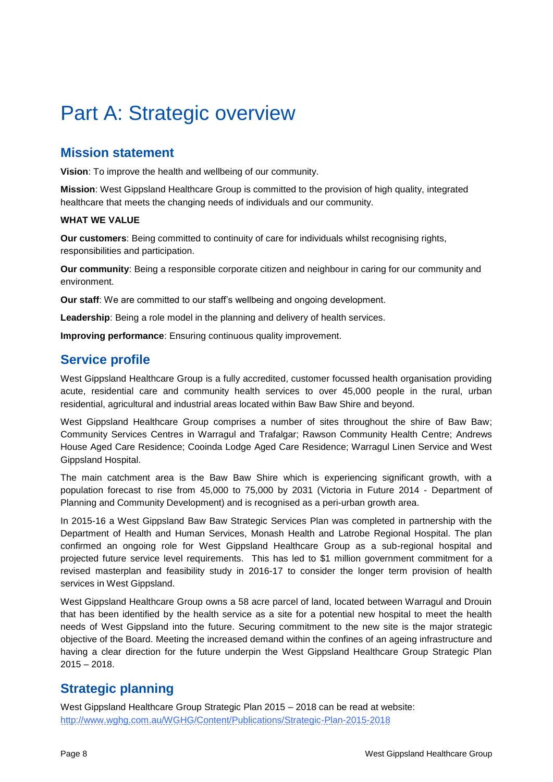# <span id="page-7-0"></span>Part A: Strategic overview

### <span id="page-7-1"></span>**Mission statement**

**Vision**: To improve the health and wellbeing of our community.

**Mission**: West Gippsland Healthcare Group is committed to the provision of high quality, integrated healthcare that meets the changing needs of individuals and our community.

#### **WHAT WE VALUE**

**Our customers**: Being committed to continuity of care for individuals whilst recognising rights, responsibilities and participation.

**Our community**: Being a responsible corporate citizen and neighbour in caring for our community and environment.

**Our staff**: We are committed to our staff's wellbeing and ongoing development.

**Leadership**: Being a role model in the planning and delivery of health services.

**Improving performance**: Ensuring continuous quality improvement.

### <span id="page-7-2"></span>**Service profile**

West Gippsland Healthcare Group is a fully accredited, customer focussed health organisation providing acute, residential care and community health services to over 45,000 people in the rural, urban residential, agricultural and industrial areas located within Baw Baw Shire and beyond.

West Gippsland Healthcare Group comprises a number of sites throughout the shire of Baw Baw; Community Services Centres in Warragul and Trafalgar; Rawson Community Health Centre; Andrews House Aged Care Residence; Cooinda Lodge Aged Care Residence; Warragul Linen Service and West Gippsland Hospital.

The main catchment area is the Baw Baw Shire which is experiencing significant growth, with a population forecast to rise from 45,000 to 75,000 by 2031 (Victoria in Future 2014 - Department of Planning and Community Development) and is recognised as a peri-urban growth area.

In 2015-16 a West Gippsland Baw Baw Strategic Services Plan was completed in partnership with the Department of Health and Human Services, Monash Health and Latrobe Regional Hospital. The plan confirmed an ongoing role for West Gippsland Healthcare Group as a sub-regional hospital and projected future service level requirements. This has led to \$1 million government commitment for a revised masterplan and feasibility study in 2016-17 to consider the longer term provision of health services in West Gippsland.

West Gippsland Healthcare Group owns a 58 acre parcel of land, located between Warragul and Drouin that has been identified by the health service as a site for a potential new hospital to meet the health needs of West Gippsland into the future. Securing commitment to the new site is the major strategic objective of the Board. Meeting the increased demand within the confines of an ageing infrastructure and having a clear direction for the future underpin the West Gippsland Healthcare Group Strategic Plan 2015 – 2018.

### <span id="page-7-3"></span>**Strategic planning**

West Gippsland Healthcare Group Strategic Plan 2015 – 2018 can be read at website: <http://www.wghg.com.au/WGHG/Content/Publications/Strategic-Plan-2015-2018>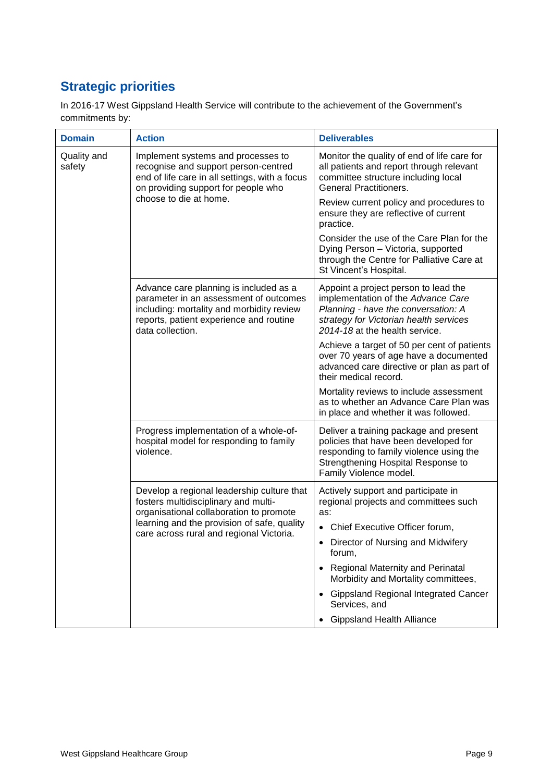## <span id="page-8-0"></span>**Strategic priorities**

In 2016-17 West Gippsland Health Service will contribute to the achievement of the Government's commitments by:

| <b>Domain</b>         | <b>Action</b>                                                                                                                                                                                 | <b>Deliverables</b>                                                                                                                                                                           |
|-----------------------|-----------------------------------------------------------------------------------------------------------------------------------------------------------------------------------------------|-----------------------------------------------------------------------------------------------------------------------------------------------------------------------------------------------|
| Quality and<br>safety | Implement systems and processes to<br>recognise and support person-centred<br>end of life care in all settings, with a focus<br>on providing support for people who<br>choose to die at home. | Monitor the quality of end of life care for<br>all patients and report through relevant<br>committee structure including local<br><b>General Practitioners.</b>                               |
|                       |                                                                                                                                                                                               | Review current policy and procedures to<br>ensure they are reflective of current<br>practice.                                                                                                 |
|                       |                                                                                                                                                                                               | Consider the use of the Care Plan for the<br>Dying Person - Victoria, supported<br>through the Centre for Palliative Care at<br>St Vincent's Hospital.                                        |
|                       | Advance care planning is included as a<br>parameter in an assessment of outcomes<br>including: mortality and morbidity review<br>reports, patient experience and routine<br>data collection.  | Appoint a project person to lead the<br>implementation of the Advance Care<br>Planning - have the conversation: A<br>strategy for Victorian health services<br>2014-18 at the health service. |
|                       |                                                                                                                                                                                               | Achieve a target of 50 per cent of patients<br>over 70 years of age have a documented<br>advanced care directive or plan as part of<br>their medical record.                                  |
|                       |                                                                                                                                                                                               | Mortality reviews to include assessment<br>as to whether an Advance Care Plan was<br>in place and whether it was followed.                                                                    |
|                       | Progress implementation of a whole-of-<br>hospital model for responding to family<br>violence.                                                                                                | Deliver a training package and present<br>policies that have been developed for<br>responding to family violence using the<br>Strengthening Hospital Response to<br>Family Violence model.    |
|                       | Develop a regional leadership culture that<br>fosters multidisciplinary and multi-<br>organisational collaboration to promote                                                                 | Actively support and participate in<br>regional projects and committees such<br>as:                                                                                                           |
|                       | learning and the provision of safe, quality<br>care across rural and regional Victoria.                                                                                                       | • Chief Executive Officer forum,                                                                                                                                                              |
|                       |                                                                                                                                                                                               | • Director of Nursing and Midwifery<br>forum,                                                                                                                                                 |
|                       |                                                                                                                                                                                               | <b>Regional Maternity and Perinatal</b><br>Morbidity and Mortality committees,                                                                                                                |
|                       |                                                                                                                                                                                               | • Gippsland Regional Integrated Cancer<br>Services, and                                                                                                                                       |
|                       |                                                                                                                                                                                               | <b>Gippsland Health Alliance</b>                                                                                                                                                              |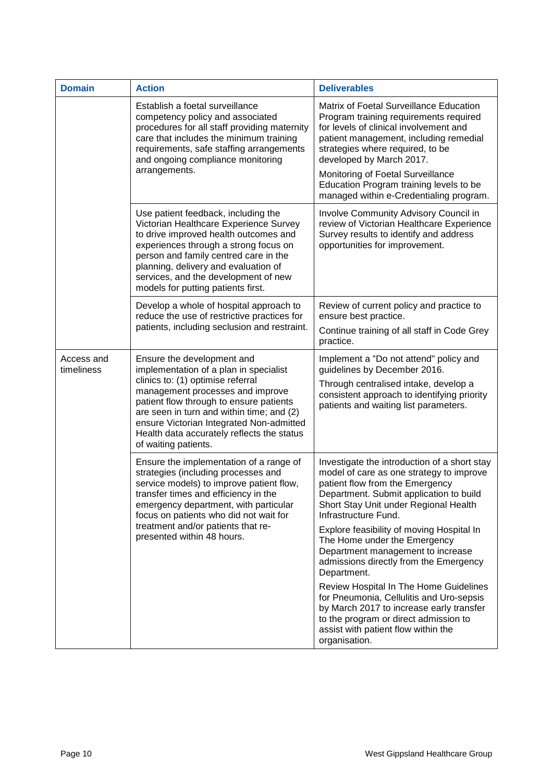| <b>Domain</b>            | <b>Action</b>                                                                                                                                                                                                                                                                                                                                           | <b>Deliverables</b>                                                                                                                                                                                                                                                                                                                                              |
|--------------------------|---------------------------------------------------------------------------------------------------------------------------------------------------------------------------------------------------------------------------------------------------------------------------------------------------------------------------------------------------------|------------------------------------------------------------------------------------------------------------------------------------------------------------------------------------------------------------------------------------------------------------------------------------------------------------------------------------------------------------------|
|                          | Establish a foetal surveillance<br>competency policy and associated<br>procedures for all staff providing maternity<br>care that includes the minimum training<br>requirements, safe staffing arrangements<br>and ongoing compliance monitoring<br>arrangements.                                                                                        | Matrix of Foetal Surveillance Education<br>Program training requirements required<br>for levels of clinical involvement and<br>patient management, including remedial<br>strategies where required, to be<br>developed by March 2017.<br>Monitoring of Foetal Surveillance<br>Education Program training levels to be<br>managed within e-Credentialing program. |
|                          | Use patient feedback, including the<br>Victorian Healthcare Experience Survey<br>to drive improved health outcomes and<br>experiences through a strong focus on<br>person and family centred care in the<br>planning, delivery and evaluation of<br>services, and the development of new<br>models for putting patients first.                          | Involve Community Advisory Council in<br>review of Victorian Healthcare Experience<br>Survey results to identify and address<br>opportunities for improvement.                                                                                                                                                                                                   |
|                          | Develop a whole of hospital approach to<br>reduce the use of restrictive practices for<br>patients, including seclusion and restraint.                                                                                                                                                                                                                  | Review of current policy and practice to<br>ensure best practice.<br>Continue training of all staff in Code Grey<br>practice.                                                                                                                                                                                                                                    |
| Access and<br>timeliness | Ensure the development and<br>implementation of a plan in specialist<br>clinics to: (1) optimise referral<br>management processes and improve<br>patient flow through to ensure patients<br>are seen in turn and within time; and (2)<br>ensure Victorian Integrated Non-admitted<br>Health data accurately reflects the status<br>of waiting patients. | Implement a "Do not attend" policy and<br>guidelines by December 2016.<br>Through centralised intake, develop a<br>consistent approach to identifying priority<br>patients and waiting list parameters.                                                                                                                                                          |
|                          | Ensure the implementation of a range of<br>strategies (including processes and<br>service models) to improve patient flow,<br>transfer times and efficiency in the<br>emergency department, with particular<br>focus on patients who did not wait for<br>treatment and/or patients that re-<br>presented within 48 hours.                               | Investigate the introduction of a short stay<br>model of care as one strategy to improve<br>patient flow from the Emergency<br>Department. Submit application to build<br>Short Stay Unit under Regional Health<br>Infrastructure Fund.                                                                                                                          |
|                          |                                                                                                                                                                                                                                                                                                                                                         | Explore feasibility of moving Hospital In<br>The Home under the Emergency<br>Department management to increase<br>admissions directly from the Emergency<br>Department.                                                                                                                                                                                          |
|                          |                                                                                                                                                                                                                                                                                                                                                         | Review Hospital In The Home Guidelines<br>for Pneumonia, Cellulitis and Uro-sepsis<br>by March 2017 to increase early transfer<br>to the program or direct admission to<br>assist with patient flow within the<br>organisation.                                                                                                                                  |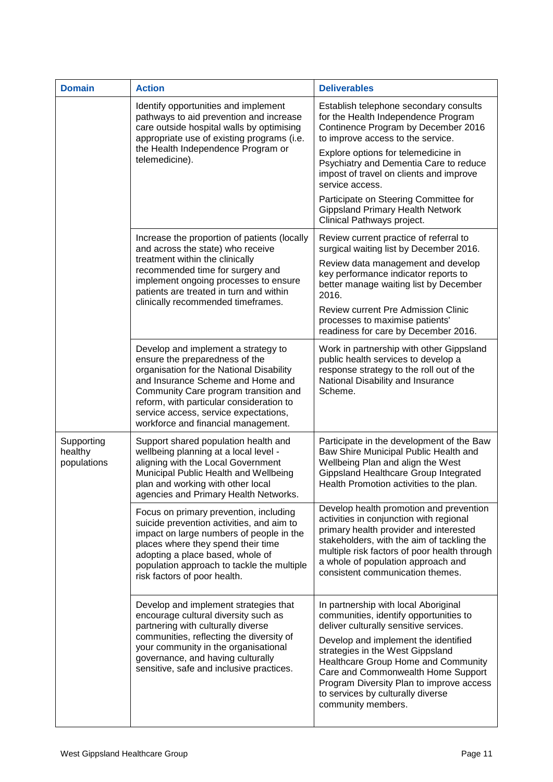| <b>Domain</b>                        | <b>Action</b>                                                                                                                                                                                                                                                                                                               | <b>Deliverables</b>                                                                                                                                                                                                                                                                                                                                                                      |
|--------------------------------------|-----------------------------------------------------------------------------------------------------------------------------------------------------------------------------------------------------------------------------------------------------------------------------------------------------------------------------|------------------------------------------------------------------------------------------------------------------------------------------------------------------------------------------------------------------------------------------------------------------------------------------------------------------------------------------------------------------------------------------|
|                                      | Identify opportunities and implement<br>pathways to aid prevention and increase<br>care outside hospital walls by optimising<br>appropriate use of existing programs (i.e.<br>the Health Independence Program or<br>telemedicine).                                                                                          | Establish telephone secondary consults<br>for the Health Independence Program<br>Continence Program by December 2016<br>to improve access to the service.<br>Explore options for telemedicine in<br>Psychiatry and Dementia Care to reduce<br>impost of travel on clients and improve<br>service access.                                                                                 |
|                                      |                                                                                                                                                                                                                                                                                                                             | Participate on Steering Committee for<br><b>Gippsland Primary Health Network</b><br>Clinical Pathways project.                                                                                                                                                                                                                                                                           |
|                                      | Increase the proportion of patients (locally<br>and across the state) who receive                                                                                                                                                                                                                                           | Review current practice of referral to<br>surgical waiting list by December 2016.                                                                                                                                                                                                                                                                                                        |
|                                      | treatment within the clinically<br>recommended time for surgery and<br>implement ongoing processes to ensure<br>patients are treated in turn and within                                                                                                                                                                     | Review data management and develop<br>key performance indicator reports to<br>better manage waiting list by December<br>2016.                                                                                                                                                                                                                                                            |
|                                      | clinically recommended timeframes.                                                                                                                                                                                                                                                                                          | Review current Pre Admission Clinic<br>processes to maximise patients'<br>readiness for care by December 2016.                                                                                                                                                                                                                                                                           |
|                                      | Develop and implement a strategy to<br>ensure the preparedness of the<br>organisation for the National Disability<br>and Insurance Scheme and Home and<br>Community Care program transition and<br>reform, with particular consideration to<br>service access, service expectations,<br>workforce and financial management. | Work in partnership with other Gippsland<br>public health services to develop a<br>response strategy to the roll out of the<br>National Disability and Insurance<br>Scheme.                                                                                                                                                                                                              |
| Supporting<br>healthy<br>populations | Support shared population health and<br>wellbeing planning at a local level -<br>aligning with the Local Government<br>Municipal Public Health and Wellbeing<br>plan and working with other local<br>agencies and Primary Health Networks.                                                                                  | Participate in the development of the Baw<br>Baw Shire Municipal Public Health and<br>Wellbeing Plan and align the West<br>Gippsland Healthcare Group Integrated<br>Health Promotion activities to the plan.                                                                                                                                                                             |
|                                      | Focus on primary prevention, including<br>suicide prevention activities, and aim to<br>impact on large numbers of people in the<br>places where they spend their time<br>adopting a place based, whole of<br>population approach to tackle the multiple<br>risk factors of poor health.                                     | Develop health promotion and prevention<br>activities in conjunction with regional<br>primary health provider and interested<br>stakeholders, with the aim of tackling the<br>multiple risk factors of poor health through<br>a whole of population approach and<br>consistent communication themes.                                                                                     |
|                                      | Develop and implement strategies that<br>encourage cultural diversity such as<br>partnering with culturally diverse<br>communities, reflecting the diversity of<br>your community in the organisational<br>governance, and having culturally<br>sensitive, safe and inclusive practices.                                    | In partnership with local Aboriginal<br>communities, identify opportunities to<br>deliver culturally sensitive services.<br>Develop and implement the identified<br>strategies in the West Gippsland<br>Healthcare Group Home and Community<br>Care and Commonwealth Home Support<br>Program Diversity Plan to improve access<br>to services by culturally diverse<br>community members. |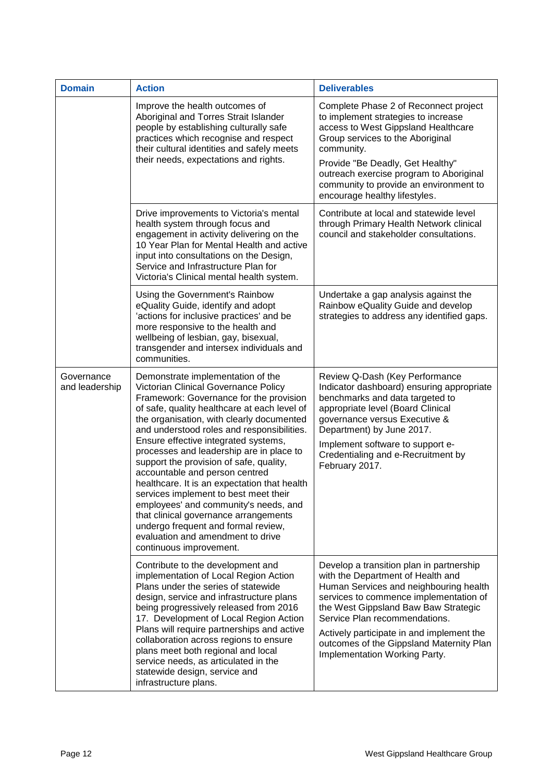| <b>Domain</b>                | <b>Action</b>                                                                                                                                                                                                                                                                                                                                                                                                                                                                                                                                                                                                                                                                                                      | <b>Deliverables</b>                                                                                                                                                                                                                                                                                                                                                  |
|------------------------------|--------------------------------------------------------------------------------------------------------------------------------------------------------------------------------------------------------------------------------------------------------------------------------------------------------------------------------------------------------------------------------------------------------------------------------------------------------------------------------------------------------------------------------------------------------------------------------------------------------------------------------------------------------------------------------------------------------------------|----------------------------------------------------------------------------------------------------------------------------------------------------------------------------------------------------------------------------------------------------------------------------------------------------------------------------------------------------------------------|
|                              | Improve the health outcomes of<br>Aboriginal and Torres Strait Islander<br>people by establishing culturally safe<br>practices which recognise and respect<br>their cultural identities and safely meets<br>their needs, expectations and rights.                                                                                                                                                                                                                                                                                                                                                                                                                                                                  | Complete Phase 2 of Reconnect project<br>to implement strategies to increase<br>access to West Gippsland Healthcare<br>Group services to the Aboriginal<br>community.<br>Provide "Be Deadly, Get Healthy"<br>outreach exercise program to Aboriginal<br>community to provide an environment to<br>encourage healthy lifestyles.                                      |
|                              | Drive improvements to Victoria's mental<br>health system through focus and<br>engagement in activity delivering on the<br>10 Year Plan for Mental Health and active<br>input into consultations on the Design,<br>Service and Infrastructure Plan for<br>Victoria's Clinical mental health system.                                                                                                                                                                                                                                                                                                                                                                                                                 | Contribute at local and statewide level<br>through Primary Health Network clinical<br>council and stakeholder consultations.                                                                                                                                                                                                                                         |
|                              | Using the Government's Rainbow<br>eQuality Guide, identify and adopt<br>'actions for inclusive practices' and be<br>more responsive to the health and<br>wellbeing of lesbian, gay, bisexual,<br>transgender and intersex individuals and<br>communities.                                                                                                                                                                                                                                                                                                                                                                                                                                                          | Undertake a gap analysis against the<br>Rainbow eQuality Guide and develop<br>strategies to address any identified gaps.                                                                                                                                                                                                                                             |
| Governance<br>and leadership | Demonstrate implementation of the<br>Victorian Clinical Governance Policy<br>Framework: Governance for the provision<br>of safe, quality healthcare at each level of<br>the organisation, with clearly documented<br>and understood roles and responsibilities.<br>Ensure effective integrated systems,<br>processes and leadership are in place to<br>support the provision of safe, quality,<br>accountable and person centred<br>healthcare. It is an expectation that health<br>services implement to best meet their<br>employees' and community's needs, and<br>that clinical governance arrangements<br>undergo frequent and formal review,<br>evaluation and amendment to drive<br>continuous improvement. | Review Q-Dash (Key Performance<br>Indicator dashboard) ensuring appropriate<br>benchmarks and data targeted to<br>appropriate level (Board Clinical<br>governance versus Executive &<br>Department) by June 2017.<br>Implement software to support e-<br>Credentialing and e-Recruitment by<br>February 2017.                                                        |
|                              | Contribute to the development and<br>implementation of Local Region Action<br>Plans under the series of statewide<br>design, service and infrastructure plans<br>being progressively released from 2016<br>17. Development of Local Region Action<br>Plans will require partnerships and active<br>collaboration across regions to ensure<br>plans meet both regional and local<br>service needs, as articulated in the<br>statewide design, service and<br>infrastructure plans.                                                                                                                                                                                                                                  | Develop a transition plan in partnership<br>with the Department of Health and<br>Human Services and neighbouring health<br>services to commence implementation of<br>the West Gippsland Baw Baw Strategic<br>Service Plan recommendations.<br>Actively participate in and implement the<br>outcomes of the Gippsland Maternity Plan<br>Implementation Working Party. |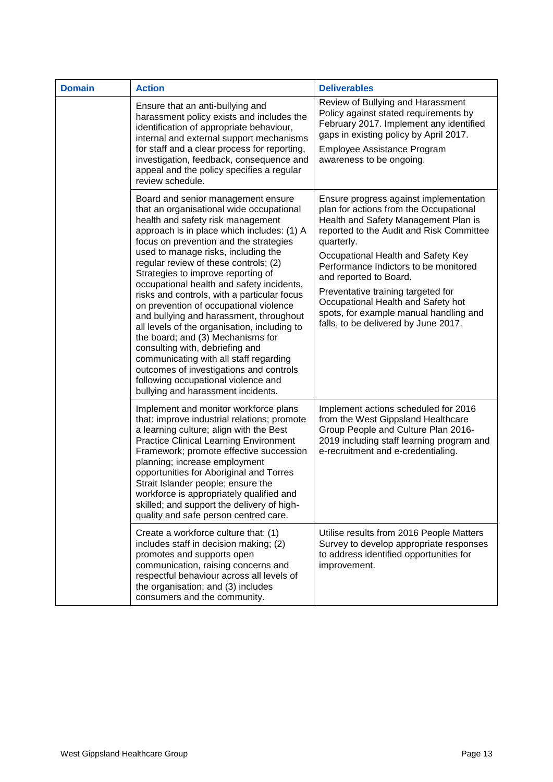| <b>Domain</b> | <b>Action</b>                                                                                                                                                                                                                                                                                                                                                                                                                                                                                                                                                                                                                                                                                                                                                                                                | <b>Deliverables</b>                                                                                                                                                                                                                                                                                                                                                                                                                                       |
|---------------|--------------------------------------------------------------------------------------------------------------------------------------------------------------------------------------------------------------------------------------------------------------------------------------------------------------------------------------------------------------------------------------------------------------------------------------------------------------------------------------------------------------------------------------------------------------------------------------------------------------------------------------------------------------------------------------------------------------------------------------------------------------------------------------------------------------|-----------------------------------------------------------------------------------------------------------------------------------------------------------------------------------------------------------------------------------------------------------------------------------------------------------------------------------------------------------------------------------------------------------------------------------------------------------|
|               | Ensure that an anti-bullying and<br>harassment policy exists and includes the<br>identification of appropriate behaviour,<br>internal and external support mechanisms<br>for staff and a clear process for reporting,<br>investigation, feedback, consequence and<br>appeal and the policy specifies a regular<br>review schedule.                                                                                                                                                                                                                                                                                                                                                                                                                                                                           | Review of Bullying and Harassment<br>Policy against stated requirements by<br>February 2017. Implement any identified<br>gaps in existing policy by April 2017.<br>Employee Assistance Program<br>awareness to be ongoing.                                                                                                                                                                                                                                |
|               | Board and senior management ensure<br>that an organisational wide occupational<br>health and safety risk management<br>approach is in place which includes: (1) A<br>focus on prevention and the strategies<br>used to manage risks, including the<br>regular review of these controls; (2)<br>Strategies to improve reporting of<br>occupational health and safety incidents,<br>risks and controls, with a particular focus<br>on prevention of occupational violence<br>and bullying and harassment, throughout<br>all levels of the organisation, including to<br>the board; and (3) Mechanisms for<br>consulting with, debriefing and<br>communicating with all staff regarding<br>outcomes of investigations and controls<br>following occupational violence and<br>bullying and harassment incidents. | Ensure progress against implementation<br>plan for actions from the Occupational<br>Health and Safety Management Plan is<br>reported to the Audit and Risk Committee<br>quarterly.<br>Occupational Health and Safety Key<br>Performance Indictors to be monitored<br>and reported to Board.<br>Preventative training targeted for<br>Occupational Health and Safety hot<br>spots, for example manual handling and<br>falls, to be delivered by June 2017. |
|               | Implement and monitor workforce plans<br>that: improve industrial relations; promote<br>a learning culture; align with the Best<br><b>Practice Clinical Learning Environment</b><br>Framework; promote effective succession<br>planning; increase employment<br>opportunities for Aboriginal and Torres<br>Strait Islander people; ensure the<br>workforce is appropriately qualified and<br>skilled; and support the delivery of high-<br>quality and safe person centred care.                                                                                                                                                                                                                                                                                                                             | Implement actions scheduled for 2016<br>from the West Gippsland Healthcare<br>Group People and Culture Plan 2016-<br>2019 including staff learning program and<br>e-recruitment and e-credentialing.                                                                                                                                                                                                                                                      |
|               | Create a workforce culture that: (1)<br>includes staff in decision making; (2)<br>promotes and supports open<br>communication, raising concerns and<br>respectful behaviour across all levels of<br>the organisation; and (3) includes<br>consumers and the community.                                                                                                                                                                                                                                                                                                                                                                                                                                                                                                                                       | Utilise results from 2016 People Matters<br>Survey to develop appropriate responses<br>to address identified opportunities for<br>improvement.                                                                                                                                                                                                                                                                                                            |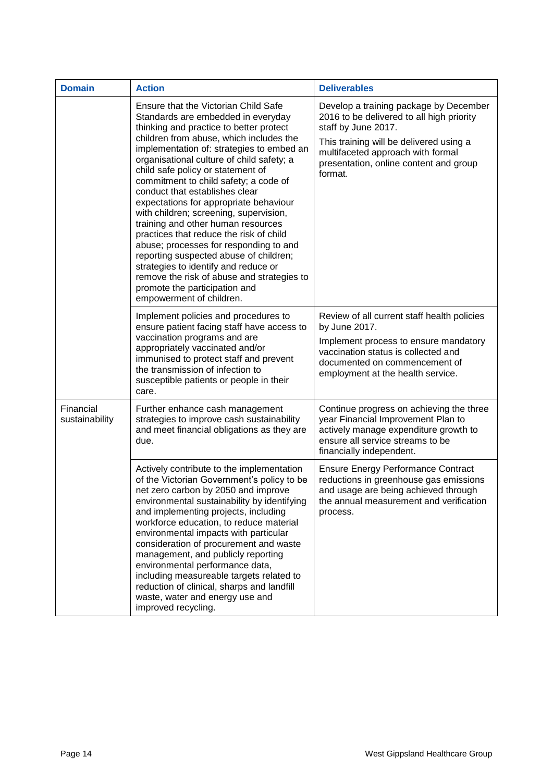| <b>Domain</b>               | <b>Action</b>                                                                                                                                                                                                                                                                                                                                                                                                                                                                                                                                                                                                                                                                                                                                                                          | <b>Deliverables</b>                                                                                                                                                                                                                             |
|-----------------------------|----------------------------------------------------------------------------------------------------------------------------------------------------------------------------------------------------------------------------------------------------------------------------------------------------------------------------------------------------------------------------------------------------------------------------------------------------------------------------------------------------------------------------------------------------------------------------------------------------------------------------------------------------------------------------------------------------------------------------------------------------------------------------------------|-------------------------------------------------------------------------------------------------------------------------------------------------------------------------------------------------------------------------------------------------|
|                             | Ensure that the Victorian Child Safe<br>Standards are embedded in everyday<br>thinking and practice to better protect<br>children from abuse, which includes the<br>implementation of: strategies to embed an<br>organisational culture of child safety; a<br>child safe policy or statement of<br>commitment to child safety; a code of<br>conduct that establishes clear<br>expectations for appropriate behaviour<br>with children; screening, supervision,<br>training and other human resources<br>practices that reduce the risk of child<br>abuse; processes for responding to and<br>reporting suspected abuse of children;<br>strategies to identify and reduce or<br>remove the risk of abuse and strategies to<br>promote the participation and<br>empowerment of children. | Develop a training package by December<br>2016 to be delivered to all high priority<br>staff by June 2017.<br>This training will be delivered using a<br>multifaceted approach with formal<br>presentation, online content and group<br>format. |
|                             | Implement policies and procedures to<br>ensure patient facing staff have access to<br>vaccination programs and are<br>appropriately vaccinated and/or<br>immunised to protect staff and prevent<br>the transmission of infection to<br>susceptible patients or people in their<br>care.                                                                                                                                                                                                                                                                                                                                                                                                                                                                                                | Review of all current staff health policies<br>by June 2017.<br>Implement process to ensure mandatory<br>vaccination status is collected and<br>documented on commencement of<br>employment at the health service.                              |
| Financial<br>sustainability | Further enhance cash management<br>strategies to improve cash sustainability<br>and meet financial obligations as they are<br>due.                                                                                                                                                                                                                                                                                                                                                                                                                                                                                                                                                                                                                                                     | Continue progress on achieving the three<br>year Financial Improvement Plan to<br>actively manage expenditure growth to<br>ensure all service streams to be<br>financially independent.                                                         |
|                             | Actively contribute to the implementation<br>of the Victorian Government's policy to be<br>net zero carbon by 2050 and improve<br>environmental sustainability by identifying<br>and implementing projects, including<br>workforce education, to reduce material<br>environmental impacts with particular<br>consideration of procurement and waste<br>management, and publicly reporting<br>environmental performance data,<br>including measureable targets related to<br>reduction of clinical, sharps and landfill<br>waste, water and energy use and<br>improved recycling.                                                                                                                                                                                                       | <b>Ensure Energy Performance Contract</b><br>reductions in greenhouse gas emissions<br>and usage are being achieved through<br>the annual measurement and verification<br>process.                                                              |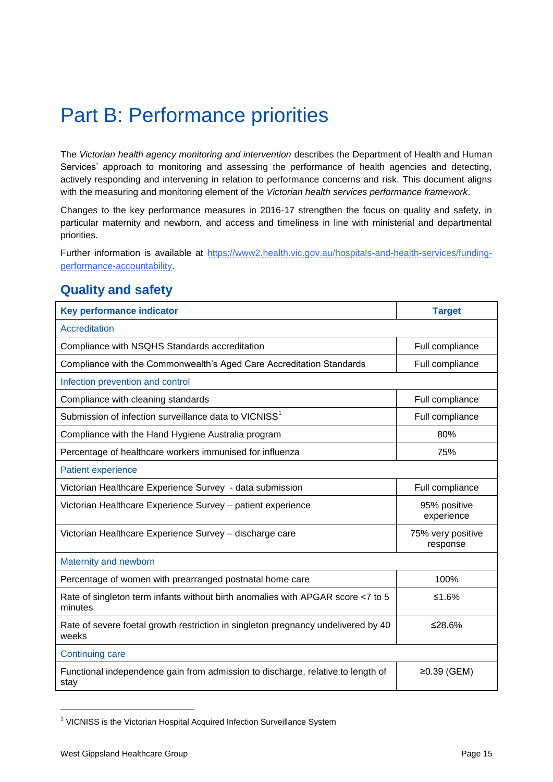# <span id="page-14-0"></span>Part B: Performance priorities

The *Victorian health agency monitoring and intervention* describes the Department of Health and Human Services' approach to monitoring and assessing the performance of health agencies and detecting, actively responding and intervening in relation to performance concerns and risk. This document aligns with the measuring and monitoring element of the *Victorian health services performance framework*.

Changes to the key performance measures in 2016-17 strengthen the focus on quality and safety, in particular maternity and newborn, and access and timeliness in line with ministerial and departmental priorities.

Further information is available at [https://www2.health.vic.gov.au/hospitals-and-health-services/funding](https://www2.health.vic.gov.au/hospitals-and-health-services/funding-performance-accountability)[performance-accountability.](https://www2.health.vic.gov.au/hospitals-and-health-services/funding-performance-accountability)

### <span id="page-14-1"></span>**Quality and safety**

| <b>Key performance indicator</b>                                                           | <b>Target</b>                 |  |
|--------------------------------------------------------------------------------------------|-------------------------------|--|
| <b>Accreditation</b>                                                                       |                               |  |
| Compliance with NSQHS Standards accreditation                                              | Full compliance               |  |
| Compliance with the Commonwealth's Aged Care Accreditation Standards                       | Full compliance               |  |
| Infection prevention and control                                                           |                               |  |
| Compliance with cleaning standards                                                         | Full compliance               |  |
| Submission of infection surveillance data to VICNISS <sup>1</sup>                          | Full compliance               |  |
| Compliance with the Hand Hygiene Australia program                                         | 80%                           |  |
| Percentage of healthcare workers immunised for influenza                                   | 75%                           |  |
| <b>Patient experience</b>                                                                  |                               |  |
| Victorian Healthcare Experience Survey - data submission                                   | Full compliance               |  |
| Victorian Healthcare Experience Survey - patient experience                                | 95% positive<br>experience    |  |
| Victorian Healthcare Experience Survey - discharge care                                    | 75% very positive<br>response |  |
| Maternity and newborn                                                                      |                               |  |
| Percentage of women with prearranged postnatal home care                                   | 100%                          |  |
| Rate of singleton term infants without birth anomalies with APGAR score <7 to 5<br>minutes | ≤1.6%                         |  |
| Rate of severe foetal growth restriction in singleton pregnancy undelivered by 40<br>weeks | ≤28.6%                        |  |
| <b>Continuing care</b>                                                                     |                               |  |
| Functional independence gain from admission to discharge, relative to length of<br>stay    | ≥0.39 (GEM)                   |  |

<sup>&</sup>lt;sup>1</sup> VICNISS is the Victorian Hospital Acquired Infection Surveillance System

 $\overline{a}$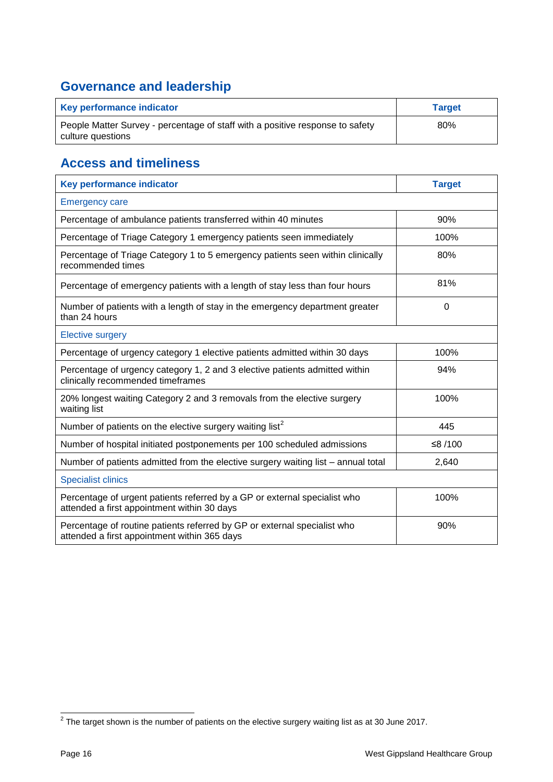## <span id="page-15-0"></span>**Governance and leadership**

| Key performance indicator                                                                          | <b>Target</b> |
|----------------------------------------------------------------------------------------------------|---------------|
| People Matter Survey - percentage of staff with a positive response to safety<br>culture questions | 80%           |

## <span id="page-15-1"></span>**Access and timeliness**

| <b>Key performance indicator</b>                                                                                         | <b>Target</b> |  |
|--------------------------------------------------------------------------------------------------------------------------|---------------|--|
| <b>Emergency care</b>                                                                                                    |               |  |
| Percentage of ambulance patients transferred within 40 minutes                                                           | 90%           |  |
| Percentage of Triage Category 1 emergency patients seen immediately                                                      | 100%          |  |
| Percentage of Triage Category 1 to 5 emergency patients seen within clinically<br>recommended times                      | 80%           |  |
| Percentage of emergency patients with a length of stay less than four hours                                              | 81%           |  |
| Number of patients with a length of stay in the emergency department greater<br>than 24 hours                            | $\Omega$      |  |
| <b>Elective surgery</b>                                                                                                  |               |  |
| Percentage of urgency category 1 elective patients admitted within 30 days                                               | 100%          |  |
| Percentage of urgency category 1, 2 and 3 elective patients admitted within<br>clinically recommended timeframes         | 94%           |  |
| 20% longest waiting Category 2 and 3 removals from the elective surgery<br>waiting list                                  | 100%          |  |
| Number of patients on the elective surgery waiting list <sup>2</sup>                                                     | 445           |  |
| Number of hospital initiated postponements per 100 scheduled admissions                                                  | ≤8/100        |  |
| Number of patients admitted from the elective surgery waiting list - annual total                                        | 2,640         |  |
| <b>Specialist clinics</b>                                                                                                |               |  |
| Percentage of urgent patients referred by a GP or external specialist who<br>attended a first appointment within 30 days | 100%          |  |
| Percentage of routine patients referred by GP or external specialist who<br>attended a first appointment within 365 days | 90%           |  |

<span id="page-15-2"></span> $^2$  The target shown is the number of patients on the elective surgery waiting list as at 30 June 2017.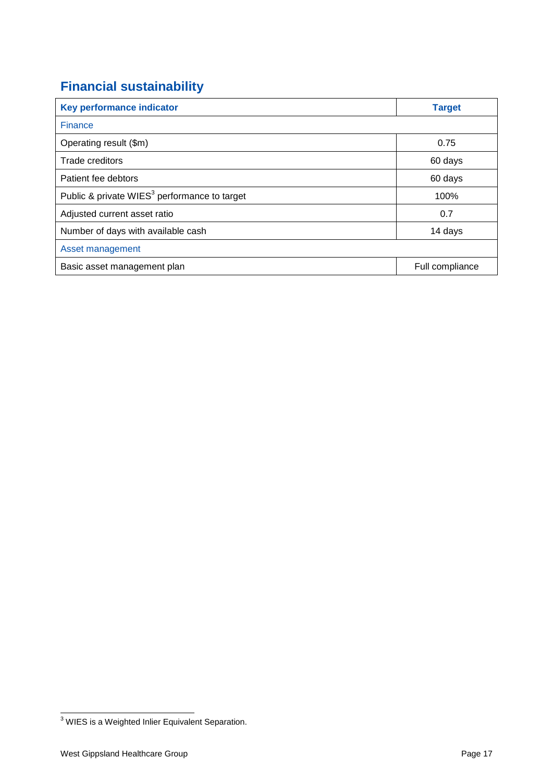## **Financial sustainability**

| Key performance indicator                                | <b>Target</b>   |  |
|----------------------------------------------------------|-----------------|--|
| <b>Finance</b>                                           |                 |  |
| Operating result (\$m)                                   | 0.75            |  |
| Trade creditors                                          | 60 days         |  |
| Patient fee debtors                                      | 60 days         |  |
| Public & private WIES <sup>3</sup> performance to target | 100%            |  |
| Adjusted current asset ratio                             | 0.7             |  |
| Number of days with available cash                       | 14 days         |  |
| Asset management                                         |                 |  |
| Basic asset management plan                              | Full compliance |  |

 $\overline{a}$ 

 $3$  WIES is a Weighted Inlier Equivalent Separation.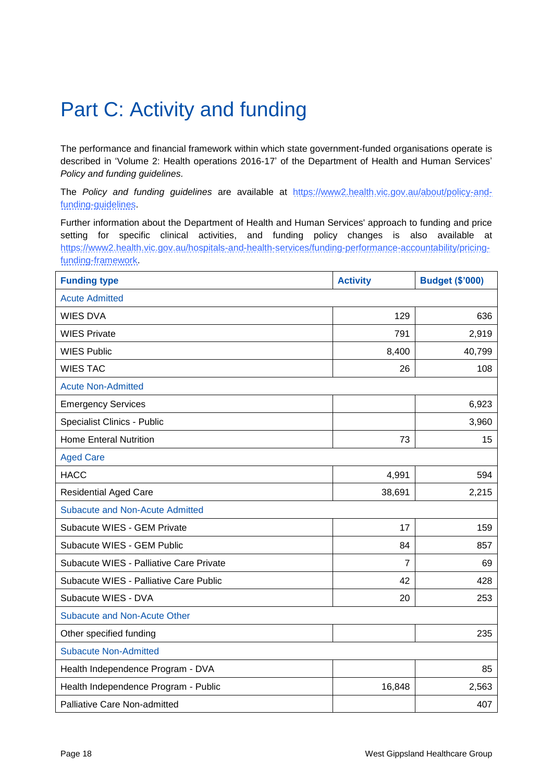# <span id="page-17-0"></span>Part C: Activity and funding

The performance and financial framework within which state government-funded organisations operate is described in 'Volume 2: Health operations 2016-17' of the Department of Health and Human Services' *Policy and funding guidelines.* 

The *Policy and funding guidelines* are available at [https://www2.health.vic.gov.au/about/policy-and](https://www2.health.vic.gov.au/about/policy-and-funding-guidelines)[funding-guidelines.](https://www2.health.vic.gov.au/about/policy-and-funding-guidelines)

Further information about the Department of Health and Human Services' approach to funding and price setting for specific clinical activities, and funding policy changes is also available at [https://www2.health.vic.gov.au/hospitals-and-health-services/funding-performance-accountability/pricing](https://www2.health.vic.gov.au/hospitals-and-health-services/funding-performance-accountability/pricing-funding-framework)[funding-framework.](https://www2.health.vic.gov.au/hospitals-and-health-services/funding-performance-accountability/pricing-funding-framework)

| <b>Funding type</b>                     | <b>Activity</b> | <b>Budget (\$'000)</b> |
|-----------------------------------------|-----------------|------------------------|
| <b>Acute Admitted</b>                   |                 |                        |
| <b>WIES DVA</b>                         | 129             | 636                    |
| <b>WIES Private</b>                     | 791             | 2,919                  |
| <b>WIES Public</b>                      | 8,400           | 40,799                 |
| <b>WIES TAC</b>                         | 26              | 108                    |
| <b>Acute Non-Admitted</b>               |                 |                        |
| <b>Emergency Services</b>               |                 | 6,923                  |
| Specialist Clinics - Public             |                 | 3,960                  |
| <b>Home Enteral Nutrition</b>           | 73              | 15                     |
| <b>Aged Care</b>                        |                 |                        |
| <b>HACC</b>                             | 4,991           | 594                    |
| <b>Residential Aged Care</b>            | 38,691          | 2,215                  |
| <b>Subacute and Non-Acute Admitted</b>  |                 |                        |
| Subacute WIES - GEM Private             | 17              | 159                    |
| Subacute WIES - GEM Public              | 84              | 857                    |
| Subacute WIES - Palliative Care Private | 7               | 69                     |
| Subacute WIES - Palliative Care Public  | 42              | 428                    |
| Subacute WIES - DVA                     | 20              | 253                    |
| <b>Subacute and Non-Acute Other</b>     |                 |                        |
| Other specified funding                 |                 | 235                    |
| <b>Subacute Non-Admitted</b>            |                 |                        |
| Health Independence Program - DVA       |                 | 85                     |
| Health Independence Program - Public    | 16,848          | 2,563                  |
| Palliative Care Non-admitted            |                 | 407                    |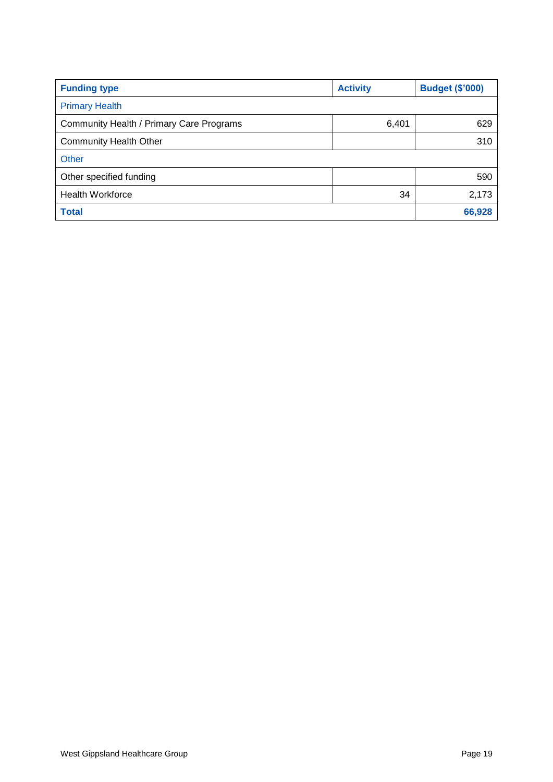| <b>Funding type</b>                      | <b>Activity</b> | <b>Budget (\$'000)</b> |
|------------------------------------------|-----------------|------------------------|
| <b>Primary Health</b>                    |                 |                        |
| Community Health / Primary Care Programs | 6,401           | 629                    |
| <b>Community Health Other</b>            |                 | 310                    |
| Other                                    |                 |                        |
| Other specified funding                  |                 | 590                    |
| <b>Health Workforce</b>                  | 34              | 2,173                  |
| <b>Total</b>                             |                 | 66,928                 |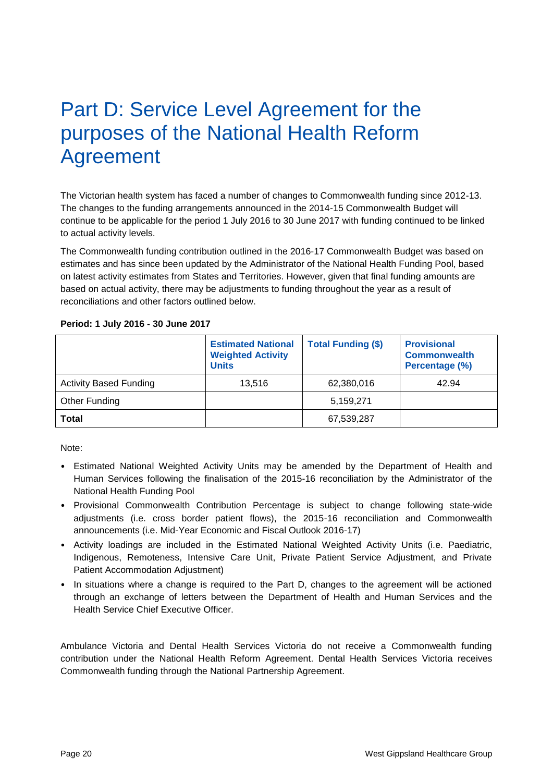## <span id="page-19-0"></span>Part D: Service Level Agreement for the purposes of the National Health Reform Agreement

The Victorian health system has faced a number of changes to Commonwealth funding since 2012-13. The changes to the funding arrangements announced in the 2014-15 Commonwealth Budget will continue to be applicable for the period 1 July 2016 to 30 June 2017 with funding continued to be linked to actual activity levels.

The Commonwealth funding contribution outlined in the 2016-17 Commonwealth Budget was based on estimates and has since been updated by the Administrator of the National Health Funding Pool, based on latest activity estimates from States and Territories. However, given that final funding amounts are based on actual activity, there may be adjustments to funding throughout the year as a result of reconciliations and other factors outlined below.

#### **Period: 1 July 2016 - 30 June 2017**

|                               | <b>Estimated National</b><br><b>Weighted Activity</b><br><b>Units</b> | <b>Total Funding (\$)</b> | <b>Provisional</b><br><b>Commonwealth</b><br>Percentage (%) |
|-------------------------------|-----------------------------------------------------------------------|---------------------------|-------------------------------------------------------------|
| <b>Activity Based Funding</b> | 13.516                                                                | 62,380,016                | 42.94                                                       |
| Other Funding                 |                                                                       | 5,159,271                 |                                                             |
| <b>Total</b>                  |                                                                       | 67,539,287                |                                                             |

Note:

- Estimated National Weighted Activity Units may be amended by the Department of Health and Human Services following the finalisation of the 2015-16 reconciliation by the Administrator of the National Health Funding Pool
- Provisional Commonwealth Contribution Percentage is subject to change following state-wide adjustments (i.e. cross border patient flows), the 2015-16 reconciliation and Commonwealth announcements (i.e. Mid-Year Economic and Fiscal Outlook 2016-17)
- Activity loadings are included in the Estimated National Weighted Activity Units (i.e. Paediatric, Indigenous, Remoteness, Intensive Care Unit, Private Patient Service Adjustment, and Private Patient Accommodation Adjustment)
- In situations where a change is required to the Part D, changes to the agreement will be actioned through an exchange of letters between the Department of Health and Human Services and the Health Service Chief Executive Officer.

Ambulance Victoria and Dental Health Services Victoria do not receive a Commonwealth funding contribution under the National Health Reform Agreement. Dental Health Services Victoria receives Commonwealth funding through the National Partnership Agreement.